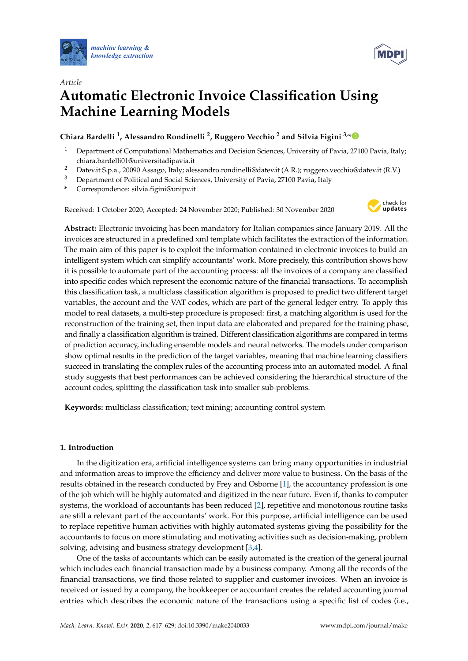



# *Article* **Automatic Electronic Invoice Classification Using Machine Learning Models**

## **Chiara Bardelli <sup>1</sup> , Alessandro Rondinelli <sup>2</sup> , Ruggero Vecchio <sup>2</sup> and Silvia Figini 3,[\\*](https://orcid.org/0000-0001-5756-7831)**

- Department of Computational Mathematics and Decision Sciences, University of Pavia, 27100 Pavia, Italy; chiara.bardelli01@universitadipavia.it
- <sup>2</sup> Datev.it S.p.a., 20090 Assago, Italy; alessandro.rondinelli@datev.it (A.R.); ruggero.vecchio@datev.it (R.V.)
- <sup>3</sup> Department of Political and Social Sciences, University of Pavia, 27100 Pavia, Italy
- **\*** Correspondence: silvia.figini@unipv.it

Received: 1 October 2020; Accepted: 24 November 2020; Published: 30 November 2020



**Abstract:** Electronic invoicing has been mandatory for Italian companies since January 2019. All the invoices are structured in a predefined xml template which facilitates the extraction of the information. The main aim of this paper is to exploit the information contained in electronic invoices to build an intelligent system which can simplify accountants' work. More precisely, this contribution shows how it is possible to automate part of the accounting process: all the invoices of a company are classified into specific codes which represent the economic nature of the financial transactions. To accomplish this classification task, a multiclass classification algorithm is proposed to predict two different target variables, the account and the VAT codes, which are part of the general ledger entry. To apply this model to real datasets, a multi-step procedure is proposed: first, a matching algorithm is used for the reconstruction of the training set, then input data are elaborated and prepared for the training phase, and finally a classification algorithm is trained. Different classification algorithms are compared in terms of prediction accuracy, including ensemble models and neural networks. The models under comparison show optimal results in the prediction of the target variables, meaning that machine learning classifiers succeed in translating the complex rules of the accounting process into an automated model. A final study suggests that best performances can be achieved considering the hierarchical structure of the account codes, splitting the classification task into smaller sub-problems.

**Keywords:** multiclass classification; text mining; accounting control system

### **1. Introduction**

In the digitization era, artificial intelligence systems can bring many opportunities in industrial and information areas to improve the efficiency and deliver more value to business. On the basis of the results obtained in the research conducted by Frey and Osborne [\[1\]](#page-10-0), the accountancy profession is one of the job which will be highly automated and digitized in the near future. Even if, thanks to computer systems, the workload of accountants has been reduced [\[2\]](#page-10-1), repetitive and monotonous routine tasks are still a relevant part of the accountants' work. For this purpose, artificial intelligence can be used to replace repetitive human activities with highly automated systems giving the possibility for the accountants to focus on more stimulating and motivating activities such as decision-making, problem solving, advising and business strategy development [\[3](#page-10-2)[,4\]](#page-10-3).

One of the tasks of accountants which can be easily automated is the creation of the general journal which includes each financial transaction made by a business company. Among all the records of the financial transactions, we find those related to supplier and customer invoices. When an invoice is received or issued by a company, the bookkeeper or accountant creates the related accounting journal entries which describes the economic nature of the transactions using a specific list of codes (i.e.,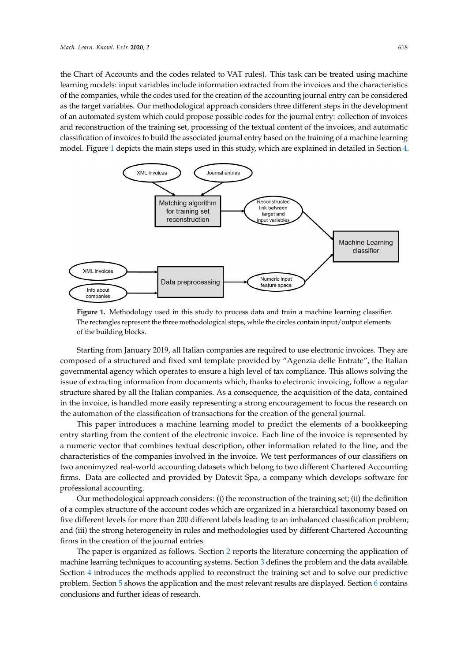the Chart of Accounts and the codes related to VAT rules). This task can be treated using machine learning models: input variables include information extracted from the invoices and the characteristics of the companies, while the codes used for the creation of the accounting journal entry can be considered as the target variables. Our methodological approach considers three different steps in the development of an automated system which could propose possible codes for the journal entry: collection of invoices and reconstruction of the training set, processing of the textual content of the invoices, and automatic classification of invoices to build the associated journal entry based on the training of a machine learning model. Figure [1](#page-1-0) depicts the main steps used in this study, which are explained in detailed in Section [4.](#page-4-0)

<span id="page-1-0"></span>

**Figure 1.** Methodology used in this study to process data and train a machine learning classifier. The rectangles represent the three methodological steps, while the circles contain input/output elements of the building blocks.

Starting from January 2019, all Italian companies are required to use electronic invoices. They are composed of a structured and fixed xml template provided by "Agenzia delle Entrate", the Italian governmental agency which operates to ensure a high level of tax compliance. This allows solving the issue of extracting information from documents which, thanks to electronic invoicing, follow a regular structure shared by all the Italian companies. As a consequence, the acquisition of the data, contained in the invoice, is handled more easily representing a strong encouragement to focus the research on the automation of the classification of transactions for the creation of the general journal.

This paper introduces a machine learning model to predict the elements of a bookkeeping entry starting from the content of the electronic invoice. Each line of the invoice is represented by a numeric vector that combines textual description, other information related to the line, and the characteristics of the companies involved in the invoice. We test performances of our classifiers on two anonimyzed real-world accounting datasets which belong to two different Chartered Accounting firms. Data are collected and provided by Datev.it Spa, a company which develops software for professional accounting.

Our methodological approach considers: (i) the reconstruction of the training set; (ii) the definition of a complex structure of the account codes which are organized in a hierarchical taxonomy based on five different levels for more than 200 different labels leading to an imbalanced classification problem; and (iii) the strong heterogeneity in rules and methodologies used by different Chartered Accounting firms in the creation of the journal entries.

The paper is organized as follows. Section [2](#page-2-0) reports the literature concerning the application of machine learning techniques to accounting systems. Section [3](#page-2-1) defines the problem and the data available. Section [4](#page-4-0) introduces the methods applied to reconstruct the training set and to solve our predictive problem. Section [5](#page-6-0) shows the application and the most relevant results are displayed. Section [6](#page-10-4) contains conclusions and further ideas of research.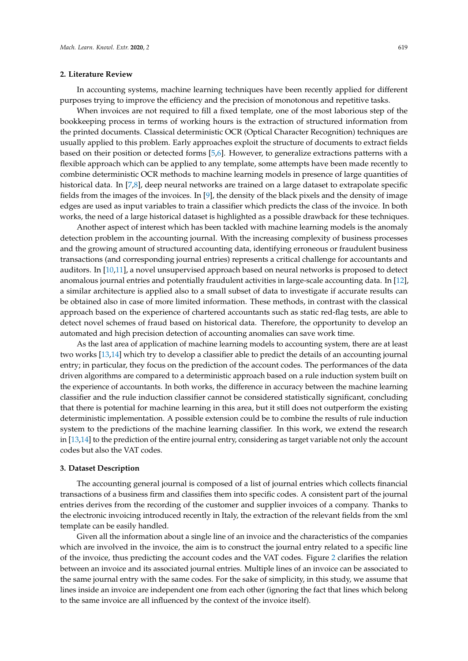#### <span id="page-2-0"></span>**2. Literature Review**

In accounting systems, machine learning techniques have been recently applied for different purposes trying to improve the efficiency and the precision of monotonous and repetitive tasks.

When invoices are not required to fill a fixed template, one of the most laborious step of the bookkeeping process in terms of working hours is the extraction of structured information from the printed documents. Classical deterministic OCR (Optical Character Recognition) techniques are usually applied to this problem. Early approaches exploit the structure of documents to extract fields based on their position or detected forms [\[5](#page-10-5)[,6\]](#page-10-6). However, to generalize extractions patterns with a flexible approach which can be applied to any template, some attempts have been made recently to combine deterministic OCR methods to machine learning models in presence of large quantities of historical data. In [\[7](#page-11-0)[,8\]](#page-11-1), deep neural networks are trained on a large dataset to extrapolate specific fields from the images of the invoices. In [\[9\]](#page-11-2), the density of the black pixels and the density of image edges are used as input variables to train a classifier which predicts the class of the invoice. In both works, the need of a large historical dataset is highlighted as a possible drawback for these techniques.

Another aspect of interest which has been tackled with machine learning models is the anomaly detection problem in the accounting journal. With the increasing complexity of business processes and the growing amount of structured accounting data, identifying erroneous or fraudulent business transactions (and corresponding journal entries) represents a critical challenge for accountants and auditors. In [\[10,](#page-11-3)[11\]](#page-11-4), a novel unsupervised approach based on neural networks is proposed to detect anomalous journal entries and potentially fraudulent activities in large-scale accounting data. In [\[12\]](#page-11-5), a similar architecture is applied also to a small subset of data to investigate if accurate results can be obtained also in case of more limited information. These methods, in contrast with the classical approach based on the experience of chartered accountants such as static red-flag tests, are able to detect novel schemes of fraud based on historical data. Therefore, the opportunity to develop an automated and high precision detection of accounting anomalies can save work time.

As the last area of application of machine learning models to accounting system, there are at least two works [\[13,](#page-11-6)[14\]](#page-11-7) which try to develop a classifier able to predict the details of an accounting journal entry; in particular, they focus on the prediction of the account codes. The performances of the data driven algorithms are compared to a deterministic approach based on a rule induction system built on the experience of accountants. In both works, the difference in accuracy between the machine learning classifier and the rule induction classifier cannot be considered statistically significant, concluding that there is potential for machine learning in this area, but it still does not outperform the existing deterministic implementation. A possible extension could be to combine the results of rule induction system to the predictions of the machine learning classifier. In this work, we extend the research in [\[13](#page-11-6)[,14\]](#page-11-7) to the prediction of the entire journal entry, considering as target variable not only the account codes but also the VAT codes.

#### <span id="page-2-1"></span>**3. Dataset Description**

The accounting general journal is composed of a list of journal entries which collects financial transactions of a business firm and classifies them into specific codes. A consistent part of the journal entries derives from the recording of the customer and supplier invoices of a company. Thanks to the electronic invoicing introduced recently in Italy, the extraction of the relevant fields from the xml template can be easily handled.

Given all the information about a single line of an invoice and the characteristics of the companies which are involved in the invoice, the aim is to construct the journal entry related to a specific line of the invoice, thus predicting the account codes and the VAT codes. Figure [2](#page-3-0) clarifies the relation between an invoice and its associated journal entries. Multiple lines of an invoice can be associated to the same journal entry with the same codes. For the sake of simplicity, in this study, we assume that lines inside an invoice are independent one from each other (ignoring the fact that lines which belong to the same invoice are all influenced by the context of the invoice itself).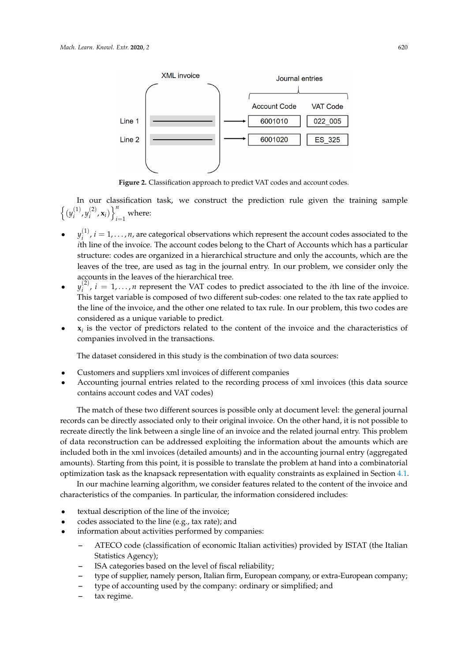<span id="page-3-0"></span>

**Figure 2.** Classification approach to predict VAT codes and account codes.

In our classification task, we construct the prediction rule given the training sample  $\{ (y_i^{(1)}\)$  $y_i^{(1)}$ ,  $y_i^{(2)}$  $\binom{2}{i}$ ,  $\mathbf{x}_i$ )  $\}$ <sup>n</sup><sub>i</sub>.  $\sum_{i=1}^{\infty}$  where:

- $y_i^{(1)}$  $i_j^{(1)}$ ,  $i = 1, ..., n$ , are categorical observations which represent the account codes associated to the *i*th line of the invoice. The account codes belong to the Chart of Accounts which has a particular structure: codes are organized in a hierarchical structure and only the accounts, which are the leaves of the tree, are used as tag in the journal entry. In our problem, we consider only the accounts in the leaves of the hierarchical tree.
- $y_i^{(2)}$  $i^{(2)}$ ,  $i = 1, ..., n$  represent the VAT codes to predict associated to the *i*th line of the invoice. This target variable is composed of two different sub-codes: one related to the tax rate applied to the line of the invoice, and the other one related to tax rule. In our problem, this two codes are considered as a unique variable to predict.
- $\bullet$   $\bullet$   $\bullet$   $\bullet$  **x***i* is the vector of predictors related to the content of the invoice and the characteristics of companies involved in the transactions.

The dataset considered in this study is the combination of two data sources:

- Customers and suppliers xml invoices of different companies
- Accounting journal entries related to the recording process of xml invoices (this data source contains account codes and VAT codes)

The match of these two different sources is possible only at document level: the general journal records can be directly associated only to their original invoice. On the other hand, it is not possible to recreate directly the link between a single line of an invoice and the related journal entry. This problem of data reconstruction can be addressed exploiting the information about the amounts which are included both in the xml invoices (detailed amounts) and in the accounting journal entry (aggregated amounts). Starting from this point, it is possible to translate the problem at hand into a combinatorial optimization task as the knapsack representation with equality constraints as explained in Section [4.1.](#page-4-1)

In our machine learning algorithm, we consider features related to the content of the invoice and characteristics of the companies. In particular, the information considered includes:

- textual description of the line of the invoice;
- codes associated to the line (e.g., tax rate); and
- information about activities performed by companies:
	- **–** ATECO code (classification of economic Italian activities) provided by ISTAT (the Italian Statistics Agency);
	- **–** ISA categories based on the level of fiscal reliability;
	- **–** type of supplier, namely person, Italian firm, European company, or extra-European company;
	- **–** type of accounting used by the company: ordinary or simplified; and
	- **–** tax regime.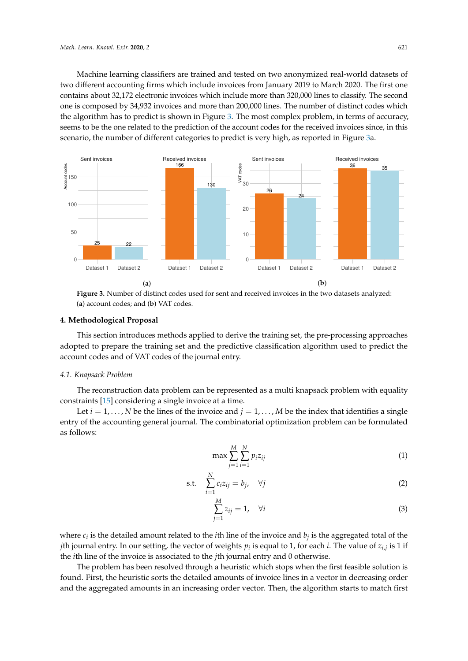Machine learning classifiers are trained and tested on two anonymized real-world datasets of two different accounting firms which include invoices from January 2019 to March 2020. The first one contains about 32,172 electronic invoices which include more than 320,000 lines to classify. The second one is composed by 34,932 invoices and more than 200,000 lines. The number of distinct codes which the algorithm has to predict is shown in Figure [3.](#page-4-2) The most complex problem, in terms of accuracy, seems to be the one related to the prediction of the account codes for the received invoices since, in this scenario, the number of different categories to predict is very high, as reported in Figure [3a](#page-4-2).

<span id="page-4-2"></span>



#### <span id="page-4-0"></span>**4. Methodological Proposal**

This section introduces methods applied to derive the training set, the pre-processing approaches adopted to prepare the training set and the predictive classification algorithm used to predict the account codes and of VAT codes of the journal entry.

#### <span id="page-4-1"></span>*4.1. Knapsack Problem*

The reconstruction data problem can be represented as a multi knapsack problem with equality constraints [\[15\]](#page-11-8) considering a single invoice at a time.

Let  $i = 1, \ldots, N$  be the lines of the invoice and  $j = 1, \ldots, M$  be the index that identifies a single entry of the accounting general journal. The combinatorial optimization problem can be formulated as follows:

$$
\max \sum_{j=1}^{M} \sum_{i=1}^{N} p_i z_{ij}
$$
 (1)

$$
\text{s.t.} \quad \sum_{i=1}^{N} c_i z_{ij} = b_j, \quad \forall j \tag{2}
$$

$$
\sum_{j=1}^{M} z_{ij} = 1, \quad \forall i \tag{3}
$$

where  $c_i$  is the detailed amount related to the *i*th line of the invoice and  $b_j$  is the aggregated total of the *j*th journal entry. In our setting, the vector of weights  $p_i$  is equal to 1, for each *i*. The value of  $z_{i,j}$  is 1 if the *i*th line of the invoice is associated to the *j*th journal entry and 0 otherwise.

The problem has been resolved through a heuristic which stops when the first feasible solution is found. First, the heuristic sorts the detailed amounts of invoice lines in a vector in decreasing order and the aggregated amounts in an increasing order vector. Then, the algorithm starts to match first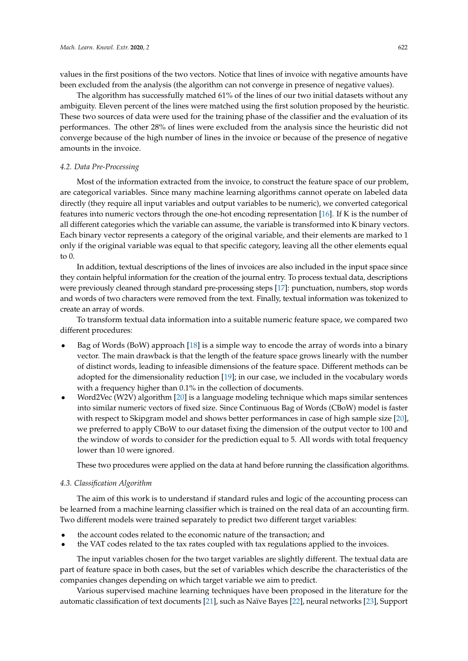values in the first positions of the two vectors. Notice that lines of invoice with negative amounts have been excluded from the analysis (the algorithm can not converge in presence of negative values).

The algorithm has successfully matched 61% of the lines of our two initial datasets without any ambiguity. Eleven percent of the lines were matched using the first solution proposed by the heuristic. These two sources of data were used for the training phase of the classifier and the evaluation of its performances. The other 28% of lines were excluded from the analysis since the heuristic did not converge because of the high number of lines in the invoice or because of the presence of negative amounts in the invoice.

#### <span id="page-5-0"></span>*4.2. Data Pre-Processing*

Most of the information extracted from the invoice, to construct the feature space of our problem, are categorical variables. Since many machine learning algorithms cannot operate on labeled data directly (they require all input variables and output variables to be numeric), we converted categorical features into numeric vectors through the one-hot encoding representation [\[16\]](#page-11-9). If K is the number of all different categories which the variable can assume, the variable is transformed into K binary vectors. Each binary vector represents a category of the original variable, and their elements are marked to 1 only if the original variable was equal to that specific category, leaving all the other elements equal to 0.

In addition, textual descriptions of the lines of invoices are also included in the input space since they contain helpful information for the creation of the journal entry. To process textual data, descriptions were previously cleaned through standard pre-processing steps [\[17\]](#page-11-10): punctuation, numbers, stop words and words of two characters were removed from the text. Finally, textual information was tokenized to create an array of words.

To transform textual data information into a suitable numeric feature space, we compared two different procedures:

- Bag of Words (BoW) approach [\[18\]](#page-11-11) is a simple way to encode the array of words into a binary vector. The main drawback is that the length of the feature space grows linearly with the number of distinct words, leading to infeasible dimensions of the feature space. Different methods can be adopted for the dimensionality reduction [\[19\]](#page-11-12); in our case, we included in the vocabulary words with a frequency higher than 0.1% in the collection of documents.
- Word2Vec (W2V) algorithm [\[20\]](#page-11-13) is a language modeling technique which maps similar sentences into similar numeric vectors of fixed size. Since Continuous Bag of Words (CBoW) model is faster with respect to Skipgram model and shows better performances in case of high sample size [\[20\]](#page-11-13), we preferred to apply CBoW to our dataset fixing the dimension of the output vector to 100 and the window of words to consider for the prediction equal to 5. All words with total frequency lower than 10 were ignored.

These two procedures were applied on the data at hand before running the classification algorithms.

#### *4.3. Classification Algorithm*

The aim of this work is to understand if standard rules and logic of the accounting process can be learned from a machine learning classifier which is trained on the real data of an accounting firm. Two different models were trained separately to predict two different target variables:

- the account codes related to the economic nature of the transaction; and
- the VAT codes related to the tax rates coupled with tax regulations applied to the invoices.

The input variables chosen for the two target variables are slightly different. The textual data are part of feature space in both cases, but the set of variables which describe the characteristics of the companies changes depending on which target variable we aim to predict.

Various supervised machine learning techniques have been proposed in the literature for the automatic classification of text documents [\[21\]](#page-11-14), such as Naïve Bayes [\[22\]](#page-11-15), neural networks [\[23\]](#page-11-16), Support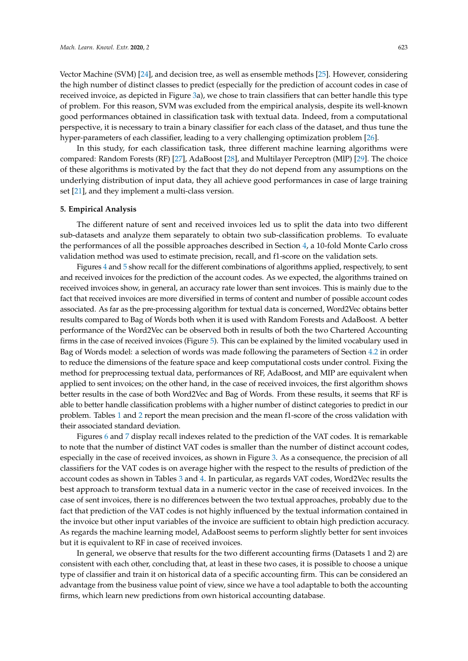Vector Machine (SVM) [\[24\]](#page-11-17), and decision tree, as well as ensemble methods [\[25\]](#page-11-18). However, considering the high number of distinct classes to predict (especially for the prediction of account codes in case of received invoice, as depicted in Figure [3a](#page-4-2)), we chose to train classifiers that can better handle this type of problem. For this reason, SVM was excluded from the empirical analysis, despite its well-known good performances obtained in classification task with textual data. Indeed, from a computational perspective, it is necessary to train a binary classifier for each class of the dataset, and thus tune the hyper-parameters of each classifier, leading to a very challenging optimization problem [\[26\]](#page-11-19).

In this study, for each classification task, three different machine learning algorithms were compared: Random Forests (RF) [\[27\]](#page-11-20), AdaBoost [\[28\]](#page-11-21), and Multilayer Perceptron (MlP) [\[29\]](#page-12-0). The choice of these algorithms is motivated by the fact that they do not depend from any assumptions on the underlying distribution of input data, they all achieve good performances in case of large training set [\[21\]](#page-11-14), and they implement a multi-class version.

#### <span id="page-6-0"></span>**5. Empirical Analysis**

The different nature of sent and received invoices led us to split the data into two different sub-datasets and analyze them separately to obtain two sub-classification problems. To evaluate the performances of all the possible approaches described in Section [4,](#page-4-0) a 10-fold Monte Carlo cross validation method was used to estimate precision, recall, and f1-score on the validation sets.

Figures [4](#page-7-0) and [5](#page-7-1) show recall for the different combinations of algorithms applied, respectively, to sent and received invoices for the prediction of the account codes. As we expected, the algorithms trained on received invoices show, in general, an accuracy rate lower than sent invoices. This is mainly due to the fact that received invoices are more diversified in terms of content and number of possible account codes associated. As far as the pre-processing algorithm for textual data is concerned, Word2Vec obtains better results compared to Bag of Words both when it is used with Random Forests and AdaBoost. A better performance of the Word2Vec can be observed both in results of both the two Chartered Accounting firms in the case of received invoices (Figure [5\)](#page-7-1). This can be explained by the limited vocabulary used in Bag of Words model: a selection of words was made following the parameters of Section [4.2](#page-5-0) in order to reduce the dimensions of the feature space and keep computational costs under control. Fixing the method for preprocessing textual data, performances of RF, AdaBoost, and MIP are equivalent when applied to sent invoices; on the other hand, in the case of received invoices, the first algorithm shows better results in the case of both Word2Vec and Bag of Words. From these results, it seems that RF is able to better handle classification problems with a higher number of distinct categories to predict in our problem. Tables [1](#page-7-2) and [2](#page-8-0) report the mean precision and the mean f1-score of the cross validation with their associated standard deviation.

Figures [6](#page-8-1) and [7](#page-8-2) display recall indexes related to the prediction of the VAT codes. It is remarkable to note that the number of distinct VAT codes is smaller than the number of distinct account codes, especially in the case of received invoices, as shown in Figure [3.](#page-4-2) As a consequence, the precision of all classifiers for the VAT codes is on average higher with the respect to the results of prediction of the account codes as shown in Tables [3](#page-9-0) and [4.](#page-9-1) In particular, as regards VAT codes, Word2Vec results the best approach to transform textual data in a numeric vector in the case of received invoices. In the case of sent invoices, there is no differences between the two textual approaches, probably due to the fact that prediction of the VAT codes is not highly influenced by the textual information contained in the invoice but other input variables of the invoice are sufficient to obtain high prediction accuracy. As regards the machine learning model, AdaBoost seems to perform slightly better for sent invoices but it is equivalent to RF in case of received invoices.

In general, we observe that results for the two different accounting firms (Datasets 1 and 2) are consistent with each other, concluding that, at least in these two cases, it is possible to choose a unique type of classifier and train it on historical data of a specific accounting firm. This can be considered an advantage from the business value point of view, since we have a tool adaptable to both the accounting firms, which learn new predictions from own historical accounting database.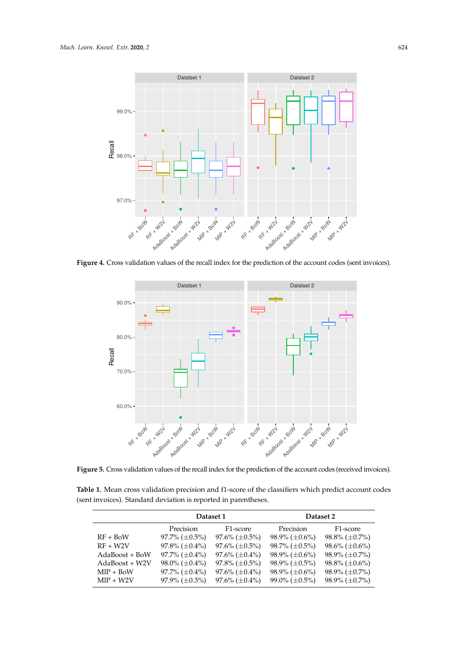<span id="page-7-0"></span>

<span id="page-7-1"></span>**Figure 4.** Cross validation values of the recall index for the prediction of the account codes (sent invoices).



**Figure 5.** Cross validation values of the recall index for the prediction of the account codes (received invoices).

<span id="page-7-2"></span>**Table 1.** Mean cross validation precision and f1-score of the classifiers which predict account codes (sent invoices). Standard deviation is reported in parentheses.

|                   | Dataset 1                |                          | Dataset 2                |                       |
|-------------------|--------------------------|--------------------------|--------------------------|-----------------------|
|                   | Precision                | F <sub>1</sub> -score    | Precision                | F <sub>1</sub> -score |
| $RF + BoW$        | $97.7\%$ ( $\pm 0.5\%$ ) | $97.6\%$ ( $\pm 0.5\%$ ) | 98.9% $(\pm 0.6\%)$      | 98.8% ( $\pm$ 0.7%)   |
| $RF + W2V$        | 97.8% $(\pm 0.4\%)$      | $97.6\%$ ( $\pm 0.5\%$ ) | $98.7\%$ ( $\pm 0.5\%$ ) | 98.6% ( $\pm 0.6\%$ ) |
| AdaBoost + BoW    | $97.7\%$ ( $\pm 0.4\%$ ) | 97.6% $(\pm 0.4\%)$      | 98.9% $(\pm 0.6\%)$      | 98.9% $(\pm 0.7\%)$   |
| $Adab$ oost + W2V | 98.0% ( $\pm$ 0.4%)      | 97.8% $(\pm 0.5\%)$      | 98.9% ( $\pm$ 0.5%)      | 98.8% ( $\pm$ 0.6%)   |
| $MIP + B0W$       | $97.7\%$ ( $\pm 0.4\%$ ) | 97.6% $(\pm 0.4\%)$      | 98.9% $(\pm 0.6\%)$      | 98.9% ( $\pm$ 0.7%)   |
| $MIP + W2V$       | $97.9\%$ ( $\pm 0.3\%$ ) | 97.6% $(\pm 0.4\%)$      | 99.0% ( $\pm$ 0.5%)      | $98.9\%~(\pm 0.7\%)$  |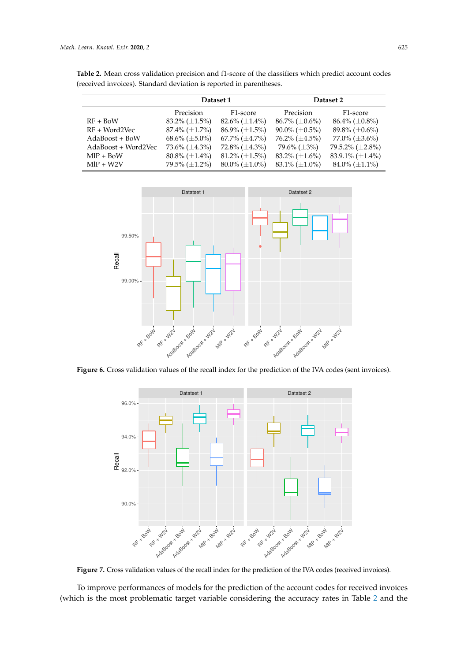|                     | Dataset 1                |                          | Dataset 2                |                            |
|---------------------|--------------------------|--------------------------|--------------------------|----------------------------|
|                     | Precision                | F <sub>1</sub> -score    | Precision                | F <sub>1</sub> -score      |
| $RF + B0W$          | $83.2\%$ ( $\pm 1.5\%$ ) | $82.6\%$ ( $\pm 1.4\%$ ) | $86.7\%$ ( $\pm 0.6\%$ ) | $86.4\%$ ( $\pm 0.8\%$ )   |
| $RF + Word2Vec$     | $87.4\%$ ( $\pm 1.7\%$ ) | $86.9\%$ ( $\pm 1.5\%$ ) | $90.0\%$ ( $\pm 0.5\%$ ) | $89.8\%$ ( $\pm 0.6\%$ )   |
| AdaBoost + BoW      | $68.6\%$ ( $\pm 5.0\%$ ) | $67.7\%$ ( $\pm 4.7\%$ ) | $76.2\%$ ( $\pm 4.5\%$ ) | $77.0\%$ ( $\pm 3.6\%$ )   |
| AdaBoost + Word2Vec | 73.6% $(\pm 4.3\%)$      | $72.8\%$ ( $\pm 4.3\%$ ) | 79.6% $(\pm 3\%)$        | $79.5.2\%$ ( $\pm 2.8\%$ ) |
| $MIP + BoW$         | $80.8\%$ ( $\pm 1.4\%$ ) | $81.2\%$ ( $\pm 1.5\%$ ) | $83.2\%$ ( $\pm 1.6\%$ ) | $83.9.1\%$ ( $\pm 1.4\%$ ) |
| $MIP + W2V$         | 79.5% $(\pm 1.2\%)$      | $80.0\%$ ( $\pm 1.0\%$ ) | $83.1\%$ ( $\pm 1.0\%$ ) | $84.0\%$ ( $\pm 1.1\%$ )   |

<span id="page-8-0"></span>**Table 2.** Mean cross validation precision and f1-score of the classifiers which predict account codes (received invoices). Standard deviation is reported in parentheses.

<span id="page-8-1"></span>

<span id="page-8-2"></span>**Figure 6.** Cross validation values of the recall index for the prediction of the IVA codes (sent invoices).



**Figure 7.** Cross validation values of the recall index for the prediction of the IVA codes (received invoices).

To improve performances of models for the prediction of the account codes for received invoices (which is the most problematic target variable considering the accuracy rates in Table [2](#page-8-0) and the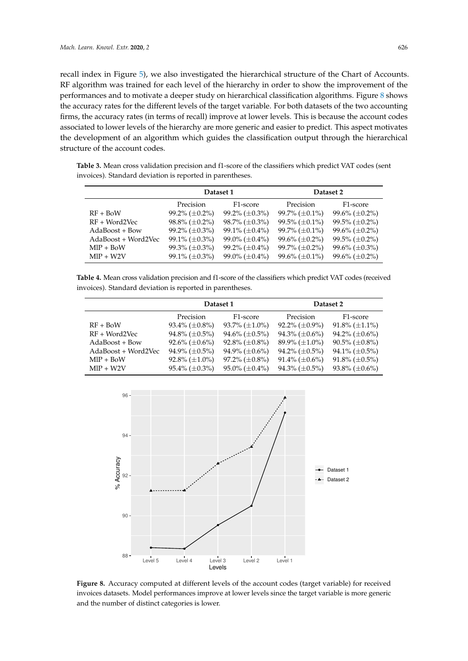recall index in Figure [5\)](#page-7-1), we also investigated the hierarchical structure of the Chart of Accounts. RF algorithm was trained for each level of the hierarchy in order to show the improvement of the performances and to motivate a deeper study on hierarchical classification algorithms. Figure [8](#page-9-2) shows the accuracy rates for the different levels of the target variable. For both datasets of the two accounting firms, the accuracy rates (in terms of recall) improve at lower levels. This is because the account codes associated to lower levels of the hierarchy are more generic and easier to predict. This aspect motivates the development of an algorithm which guides the classification output through the hierarchical structure of the account codes.

<span id="page-9-0"></span>**Table 3.** Mean cross validation precision and f1-score of the classifiers which predict VAT codes (sent invoices). Standard deviation is reported in parentheses.

|                     | Dataset 1                |                          | Dataset 2           |                       |
|---------------------|--------------------------|--------------------------|---------------------|-----------------------|
|                     | Precision                | F <sub>1</sub> -score    | Precision           | F <sub>1</sub> -score |
| $RF + B0W$          | 99.2% $(\pm 0.2\%)$      | 99.2% $(\pm 0.3\%)$      | 99.7% $(\pm 0.1\%)$ | 99.6% ( $\pm$ 0.2%)   |
| $RF + Word2Vec$     | $98.8\%$ ( $\pm 0.2\%$ ) | $98.7\%$ ( $\pm 0.3\%$ ) | 99.5% $(\pm 0.1\%)$ | 99.5% $(\pm 0.2\%)$   |
| AdaBoost + Bow      | 99.2% $(\pm 0.3\%)$      | 99.1% $(\pm 0.4\%)$      | 99.7% $(\pm 0.1\%)$ | 99.6% ( $\pm$ 0.2%)   |
| AdaBoost + Word2Vec | 99.1% $(\pm 0.3\%)$      | 99.0% $(\pm 0.4\%)$      | 99.6% ( $\pm$ 0.2%) | 99.5% $(\pm 0.2\%)$   |
| $MIP + BoW$         | 99.3% $(\pm 0.3\%)$      | 99.2% $(\pm 0.4\%)$      | 99.7% ( $\pm$ 0.2%) | 99.6% ( $\pm$ 0.3%)   |
| $MIP + W2V$         | 99.1% $(\pm 0.3\%)$      | 99.0% $(\pm 0.4\%)$      | 99.6% ( $\pm$ 0.1%) | 99.6% ( $\pm$ 0.2%)   |

<span id="page-9-1"></span>**Table 4.** Mean cross validation precision and f1-score of the classifiers which predict VAT codes (received invoices). Standard deviation is reported in parentheses.

|                     | Dataset 1                |                          | Dataset 2                |                          |
|---------------------|--------------------------|--------------------------|--------------------------|--------------------------|
|                     | Precision                | F <sub>1</sub> -score    | Precision                | F <sub>1</sub> -score    |
| $RF + B0W$          | 93.4% $(\pm 0.8\%)$      | 93.7% $(\pm 1.0\%)$      | 92.2% ( $\pm$ 0.9%)      | $91.8\%$ ( $\pm 1.1\%$ ) |
| $RF + Word2Vec$     | 94.8% ( $\pm$ 0.5%)      | 94.6% ( $\pm$ 0.5%)      | 94.3% $(\pm 0.6\%)$      | 94.2% $(\pm 0.6\%)$      |
| AdaBoost + Bow      | 92.6% ( $\pm 0.6\%$ )    | 92.8% ( $\pm$ 0.8%)      | $89.9\%$ ( $\pm 1.0\%$ ) | $90.5\%$ ( $\pm 0.8\%$ ) |
| AdaBoost + Word2Vec | 94.9% $(\pm 0.5\%)$      | 94.9% $(\pm 0.6\%)$      | 94.2% ( $\pm$ 0.5%)      | 94.1% $(\pm 0.5\%)$      |
| $MIP + B0W$         | 92.8% $(\pm 1.0\%)$      | 97.2% ( $\pm 0.8$ %)     | 91.4% ( $\pm$ 0.6%)      | $91.8\% (\pm 0.5\%)$     |
| $MIP + W2V$         | $95.4\%$ ( $\pm 0.3\%$ ) | $95.0\%$ ( $\pm 0.4\%$ ) | 94.3% $(\pm 0.5\%)$      | 93.8% ( $\pm 0.6\%$ )    |

<span id="page-9-2"></span>

**Figure 8.** Accuracy computed at different levels of the account codes (target variable) for received invoices datasets. Model performances improve at lower levels since the target variable is more generic and the number of distinct categories is lower.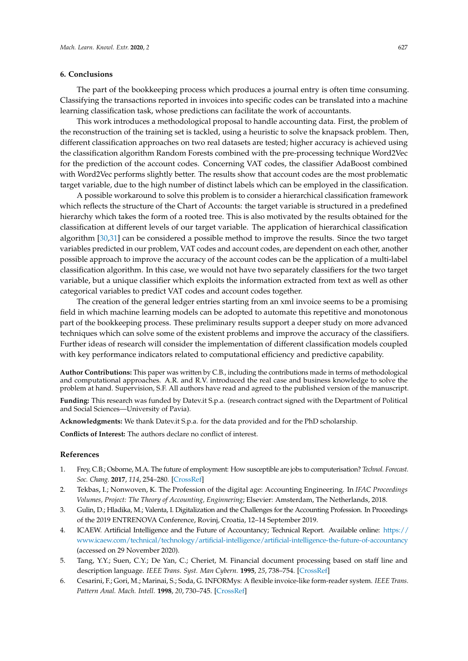#### <span id="page-10-4"></span>**6. Conclusions**

The part of the bookkeeping process which produces a journal entry is often time consuming. Classifying the transactions reported in invoices into specific codes can be translated into a machine learning classification task, whose predictions can facilitate the work of accountants.

This work introduces a methodological proposal to handle accounting data. First, the problem of the reconstruction of the training set is tackled, using a heuristic to solve the knapsack problem. Then, different classification approaches on two real datasets are tested; higher accuracy is achieved using the classification algorithm Random Forests combined with the pre-processing technique Word2Vec for the prediction of the account codes. Concerning VAT codes, the classifier AdaBoost combined with Word2Vec performs slightly better. The results show that account codes are the most problematic target variable, due to the high number of distinct labels which can be employed in the classification.

A possible workaround to solve this problem is to consider a hierarchical classification framework which reflects the structure of the Chart of Accounts: the target variable is structured in a predefined hierarchy which takes the form of a rooted tree. This is also motivated by the results obtained for the classification at different levels of our target variable. The application of hierarchical classification algorithm [\[30,](#page-12-1)[31\]](#page-12-2) can be considered a possible method to improve the results. Since the two target variables predicted in our problem, VAT codes and account codes, are dependent on each other, another possible approach to improve the accuracy of the account codes can be the application of a multi-label classification algorithm. In this case, we would not have two separately classifiers for the two target variable, but a unique classifier which exploits the information extracted from text as well as other categorical variables to predict VAT codes and account codes together.

The creation of the general ledger entries starting from an xml invoice seems to be a promising field in which machine learning models can be adopted to automate this repetitive and monotonous part of the bookkeeping process. These preliminary results support a deeper study on more advanced techniques which can solve some of the existent problems and improve the accuracy of the classifiers. Further ideas of research will consider the implementation of different classification models coupled with key performance indicators related to computational efficiency and predictive capability.

**Author Contributions:** This paper was written by C.B., including the contributions made in terms of methodological and computational approaches. A.R. and R.V. introduced the real case and business knowledge to solve the problem at hand. Supervision, S.F. All authors have read and agreed to the published version of the manuscript.

**Funding:** This research was funded by Datev.it S.p.a. (research contract signed with the Department of Political and Social Sciences—University of Pavia).

**Acknowledgments:** We thank Datev.it S.p.a. for the data provided and for the PhD scholarship.

**Conflicts of Interest:** The authors declare no conflict of interest.

#### **References**

- <span id="page-10-0"></span>1. Frey, C.B.; Osborne, M.A. The future of employment: How susceptible are jobs to computerisation? *Technol. Forecast. Soc. Chang.* **2017**, *114*, 254–280. [\[CrossRef\]](http://dx.doi.org/10.1016/j.techfore.2016.08.019)
- <span id="page-10-1"></span>2. Tekbas, I.; Nonwoven, K. The Profession of the digital age: Accounting Engineering. In *IFAC Proceedings Volumes, Project: The Theory of Accounting, Enginnering*; Elsevier: Amsterdam, The Netherlands, 2018.
- <span id="page-10-2"></span>3. Gulin, D.; Hladika, M.; Valenta, I. Digitalization and the Challenges for the Accounting Profession. In Proceedings of the 2019 ENTRENOVA Conference, Rovinj, Croatia, 12–14 September 2019.
- <span id="page-10-3"></span>4. ICAEW. Artificial Intelligence and the Future of Accountancy; Technical Report. Available online: [https://](https://www.icaew.com/technical/technology/artificial-intelligence/artificial-intelligence-the-future-of-accountancy) [www.icaew.com/technical/technology/artificial-intelligence/artificial-intelligence-the-future-of-accountancy](https://www.icaew.com/technical/technology/artificial-intelligence/artificial-intelligence-the-future-of-accountancy) (accessed on 29 November 2020).
- <span id="page-10-5"></span>5. Tang, Y.Y.; Suen, C.Y.; De Yan, C.; Cheriet, M. Financial document processing based on staff line and description language. *IEEE Trans. Syst. Man Cybern.* **1995**, *25*, 738–754. [\[CrossRef\]](http://dx.doi.org/10.1109/21.376488)
- <span id="page-10-6"></span>6. Cesarini, F.; Gori, M.; Marinai, S.; Soda, G. INFORMys: A flexible invoice-like form-reader system. *IEEE Trans. Pattern Anal. Mach. Intell.* **1998**, *20*, 730–745. [\[CrossRef\]](http://dx.doi.org/10.1109/34.689303)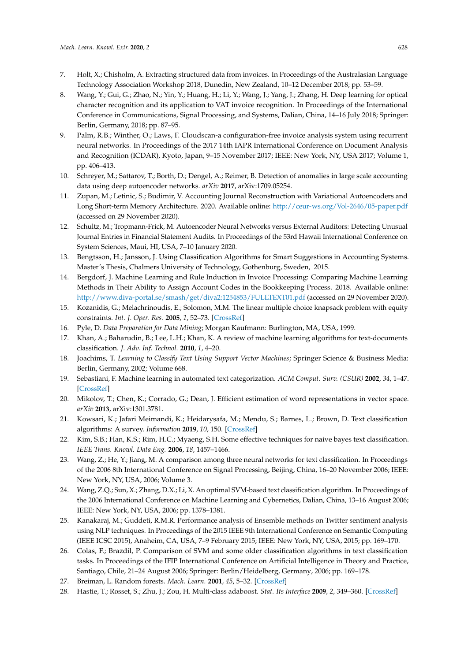- <span id="page-11-0"></span>7. Holt, X.; Chisholm, A. Extracting structured data from invoices. In Proceedings of the Australasian Language Technology Association Workshop 2018, Dunedin, New Zealand, 10–12 December 2018; pp. 53–59.
- <span id="page-11-1"></span>8. Wang, Y.; Gui, G.; Zhao, N.; Yin, Y.; Huang, H.; Li, Y.; Wang, J.; Yang, J.; Zhang, H. Deep learning for optical character recognition and its application to VAT invoice recognition. In Proceedings of the International Conference in Communications, Signal Processing, and Systems, Dalian, China, 14–16 July 2018; Springer: Berlin, Germany, 2018; pp. 87–95.
- <span id="page-11-2"></span>9. Palm, R.B.; Winther, O.; Laws, F. Cloudscan-a configuration-free invoice analysis system using recurrent neural networks. In Proceedings of the 2017 14th IAPR International Conference on Document Analysis and Recognition (ICDAR), Kyoto, Japan, 9–15 November 2017; IEEE: New York, NY, USA 2017; Volume 1, pp. 406–413.
- <span id="page-11-3"></span>10. Schreyer, M.; Sattarov, T.; Borth, D.; Dengel, A.; Reimer, B. Detection of anomalies in large scale accounting data using deep autoencoder networks. *arXiv* **2017**, arXiv:1709.05254.
- <span id="page-11-4"></span>11. Zupan, M.; Letinic, S.; Budimir, V. Accounting Journal Reconstruction with Variational Autoencoders and Long Short-term Memory Architecture. 2020. Available online: <http://ceur-ws.org/Vol-2646/05-paper.pdf> (accessed on 29 November 2020).
- <span id="page-11-5"></span>12. Schultz, M.; Tropmann-Frick, M. Autoencoder Neural Networks versus External Auditors: Detecting Unusual Journal Entries in Financial Statement Audits. In Proceedings of the 53rd Hawaii International Conference on System Sciences, Maui, HI, USA, 7–10 January 2020.
- <span id="page-11-6"></span>13. Bengtsson, H.; Jansson, J. Using Classification Algorithms for Smart Suggestions in Accounting Systems. Master's Thesis, Chalmers University of Technology, Gothenburg, Sweden, 2015.
- <span id="page-11-7"></span>14. Bergdorf, J. Machine Learning and Rule Induction in Invoice Processing: Comparing Machine Learning Methods in Their Ability to Assign Account Codes in the Bookkeeping Process. 2018. Available online: <http://www.diva-portal.se/smash/get/diva2:1254853/FULLTEXT01.pdf> (accessed on 29 November 2020).
- <span id="page-11-8"></span>15. Kozanidis, G.; Melachrinoudis, E.; Solomon, M.M. The linear multiple choice knapsack problem with equity constraints. *Int. J. Oper. Res.* **2005**, *1*, 52–73. [\[CrossRef\]](http://dx.doi.org/10.1504/IJOR.2005.007433)
- <span id="page-11-9"></span>16. Pyle, D. *Data Preparation for Data Mining*; Morgan Kaufmann: Burlington, MA, USA, 1999.
- <span id="page-11-10"></span>17. Khan, A.; Baharudin, B.; Lee, L.H.; Khan, K. A review of machine learning algorithms for text-documents classification. *J. Adv. Inf. Technol.* **2010**, *1*, 4–20.
- <span id="page-11-11"></span>18. Joachims, T. *Learning to Classify Text Using Support Vector Machines*; Springer Science & Business Media: Berlin, Germany, 2002; Volume 668.
- <span id="page-11-12"></span>19. Sebastiani, F. Machine learning in automated text categorization. *ACM Comput. Surv. (CSUR)* **2002**, *34*, 1–47. [\[CrossRef\]](http://dx.doi.org/10.1145/505282.505283)
- <span id="page-11-13"></span>20. Mikolov, T.; Chen, K.; Corrado, G.; Dean, J. Efficient estimation of word representations in vector space. *arXiv* **2013**, arXiv:1301.3781.
- <span id="page-11-14"></span>21. Kowsari, K.; Jafari Meimandi, K.; Heidarysafa, M.; Mendu, S.; Barnes, L.; Brown, D. Text classification algorithms: A survey. *Information* **2019**, *10*, 150. [\[CrossRef\]](http://dx.doi.org/10.3390/info10040150)
- <span id="page-11-15"></span>22. Kim, S.B.; Han, K.S.; Rim, H.C.; Myaeng, S.H. Some effective techniques for naive bayes text classification. *IEEE Trans. Knowl. Data Eng.* **2006**, *18*, 1457–1466.
- <span id="page-11-16"></span>23. Wang, Z.; He, Y.; Jiang, M. A comparison among three neural networks for text classification. In Proceedings of the 2006 8th International Conference on Signal Processing, Beijing, China, 16–20 November 2006; IEEE: New York, NY, USA, 2006; Volume 3.
- <span id="page-11-17"></span>24. Wang, Z.Q.; Sun, X.; Zhang, D.X.; Li, X. An optimal SVM-based text classification algorithm. In Proceedings of the 2006 International Conference on Machine Learning and Cybernetics, Dalian, China, 13–16 August 2006; IEEE: New York, NY, USA, 2006; pp. 1378–1381.
- <span id="page-11-18"></span>25. Kanakaraj, M.; Guddeti, R.M.R. Performance analysis of Ensemble methods on Twitter sentiment analysis using NLP techniques. In Proceedings of the 2015 IEEE 9th International Conference on Semantic Computing (IEEE ICSC 2015), Anaheim, CA, USA, 7–9 February 2015; IEEE: New York, NY, USA, 2015; pp. 169–170.
- <span id="page-11-19"></span>26. Colas, F.; Brazdil, P. Comparison of SVM and some older classification algorithms in text classification tasks. In Proceedings of the IFIP International Conference on Artificial Intelligence in Theory and Practice, Santiago, Chile, 21–24 August 2006; Springer: Berlin/Heidelberg, Germany, 2006; pp. 169–178.
- <span id="page-11-20"></span>27. Breiman, L. Random forests. *Mach. Learn.* **2001**, *45*, 5–32. [\[CrossRef\]](http://dx.doi.org/10.1023/A:1010933404324)
- <span id="page-11-21"></span>28. Hastie, T.; Rosset, S.; Zhu, J.; Zou, H. Multi-class adaboost. *Stat. Its Interface* **2009**, *2*, 349–360. [\[CrossRef\]](http://dx.doi.org/10.4310/SII.2009.v2.n3.a8)